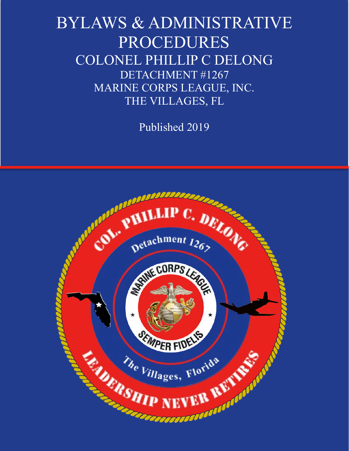# BYLAWS & ADMINISTRATIVE PROCEDURES COLONEL PHILLIP C DELONG DETACHMENT #1267 MARINE CORPS LEAGUE, INC. THE VILLAGES, FL

Published 2019

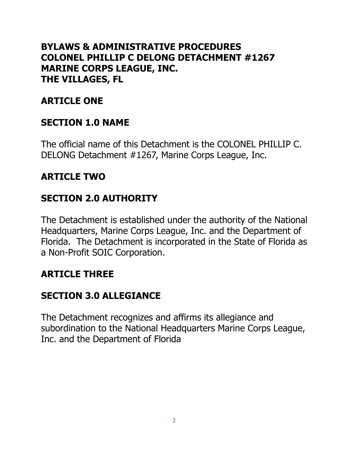#### **BYLAWS & ADMINISTRATIVE PROCEDURES COLONEL PHILLIP C DELONG DETACHMENT #1267 MARINE CORPS LEAGUE, INC. THE VILLAGES, FL**

## **ARTICLE ONE**

#### **SECTION 1.0 NAME**

The official name of this Detachment is the COLONEL PHILLIP C. DELONG Detachment #1267, Marine Corps League, Inc.

#### **ARTICLE TWO**

#### **SECTION 2.0 AUTHORITY**

The Detachment is established under the authority of the National Headquarters, Marine Corps League, Inc. and the Department of Florida. The Detachment is incorporated in the State of Florida as a Non-Profit SOIC Corporation.

#### **ARTICLE THREE**

#### **SECTION 3.0 ALLEGIANCE**

The Detachment recognizes and affirms its allegiance and subordination to the National Headquarters Marine Corps League, Inc. and the Department of Florida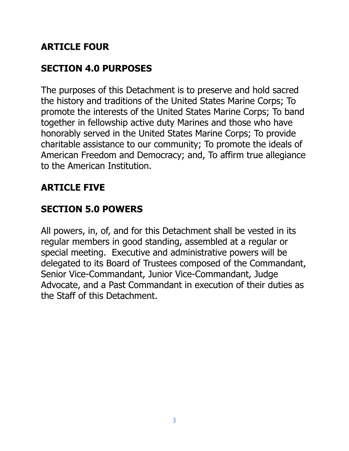# **ARTICLE FOUR**

# **SECTION 4.0 PURPOSES**

The purposes of this Detachment is to preserve and hold sacred the history and traditions of the United States Marine Corps; To promote the interests of the United States Marine Corps; To band together in fellowship active duty Marines and those who have honorably served in the United States Marine Corps; To provide charitable assistance to our community; To promote the ideals of American Freedom and Democracy; and, To affirm true allegiance to the American Institution.

# **ARTICLE FIVE**

# **SECTION 5.0 POWERS**

All powers, in, of, and for this Detachment shall be vested in its regular members in good standing, assembled at a regular or special meeting. Executive and administrative powers will be delegated to its Board of Trustees composed of the Commandant, Senior Vice-Commandant, Junior Vice-Commandant, Judge Advocate, and a Past Commandant in execution of their duties as the Staff of this Detachment.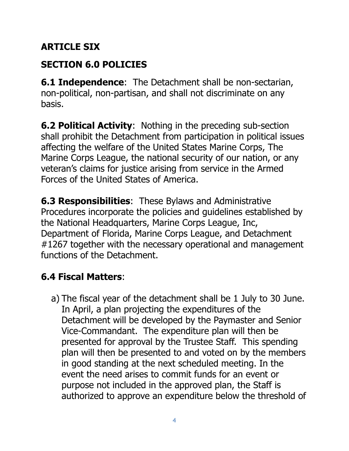# **ARTICLE SIX**

# **SECTION 6.0 POLICIES**

**6.1 Independence**: The Detachment shall be non-sectarian, non-political, non-partisan, and shall not discriminate on any basis.

**6.2 Political Activity**: Nothing in the preceding sub-section shall prohibit the Detachment from participation in political issues affecting the welfare of the United States Marine Corps, The Marine Corps League, the national security of our nation, or any veteran's claims for justice arising from service in the Armed Forces of the United States of America.

**6.3 Responsibilities**: These Bylaws and Administrative Procedures incorporate the policies and guidelines established by the National Headquarters, Marine Corps League, Inc, Department of Florida, Marine Corps League, and Detachment #1267 together with the necessary operational and management functions of the Detachment.

# **6.4 Fiscal Matters**:

a) The fiscal year of the detachment shall be 1 July to 30 June. In April, a plan projecting the expenditures of the Detachment will be developed by the Paymaster and Senior Vice-Commandant. The expenditure plan will then be presented for approval by the Trustee Staff. This spending plan will then be presented to and voted on by the members in good standing at the next scheduled meeting. In the event the need arises to commit funds for an event or purpose not included in the approved plan, the Staff is authorized to approve an expenditure below the threshold of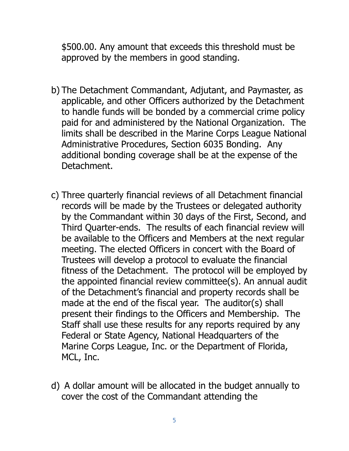\$500.00. Any amount that exceeds this threshold must be approved by the members in good standing.

- b) The Detachment Commandant, Adjutant, and Paymaster, as applicable, and other Officers authorized by the Detachment to handle funds will be bonded by a commercial crime policy paid for and administered by the National Organization. The limits shall be described in the Marine Corps League National Administrative Procedures, Section 6035 Bonding. Any additional bonding coverage shall be at the expense of the Detachment.
- c) Three quarterly financial reviews of all Detachment financial records will be made by the Trustees or delegated authority by the Commandant within 30 days of the First, Second, and Third Quarter-ends. The results of each financial review will be available to the Officers and Members at the next regular meeting. The elected Officers in concert with the Board of Trustees will develop a protocol to evaluate the financial fitness of the Detachment. The protocol will be employed by the appointed financial review committee(s). An annual audit of the Detachment's financial and property records shall be made at the end of the fiscal year. The auditor(s) shall present their findings to the Officers and Membership. The Staff shall use these results for any reports required by any Federal or State Agency, National Headquarters of the Marine Corps League, Inc. or the Department of Florida, MCL, Inc.
- d) A dollar amount will be allocated in the budget annually to cover the cost of the Commandant attending the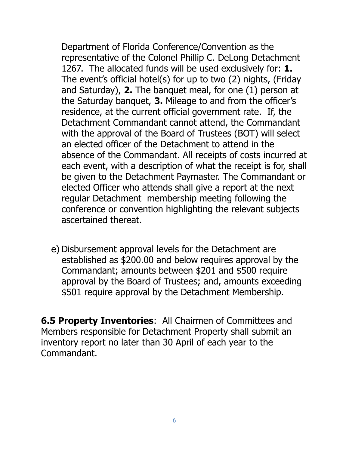Department of Florida Conference/Convention as the representative of the Colonel Phillip C. DeLong Detachment 1267. The allocated funds will be used exclusively for: **1.** The event's official hotel(s) for up to two (2) nights, (Friday and Saturday), **2.** The banquet meal, for one (1) person at the Saturday banquet, **3.** Mileage to and from the officer's residence, at the current official government rate. If, the Detachment Commandant cannot attend, the Commandant with the approval of the Board of Trustees (BOT) will select an elected officer of the Detachment to attend in the absence of the Commandant. All receipts of costs incurred at each event, with a description of what the receipt is for, shall be given to the Detachment Paymaster. The Commandant or elected Officer who attends shall give a report at the next regular Detachment membership meeting following the conference or convention highlighting the relevant subjects ascertained thereat.

e) Disbursement approval levels for the Detachment are established as \$200.00 and below requires approval by the Commandant; amounts between \$201 and \$500 require approval by the Board of Trustees; and, amounts exceeding \$501 require approval by the Detachment Membership.

**6.5 Property Inventories**: All Chairmen of Committees and Members responsible for Detachment Property shall submit an inventory report no later than 30 April of each year to the Commandant.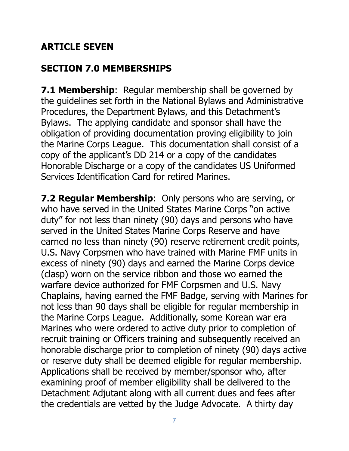## **ARTICLE SEVEN**

## **SECTION 7.0 MEMBERSHIPS**

**7.1 Membership:** Regular membership shall be governed by the guidelines set forth in the National Bylaws and Administrative Procedures, the Department Bylaws, and this Detachment's Bylaws. The applying candidate and sponsor shall have the obligation of providing documentation proving eligibility to join the Marine Corps League. This documentation shall consist of a copy of the applicant's DD 214 or a copy of the candidates Honorable Discharge or a copy of the candidates US Uniformed Services Identification Card for retired Marines.

**7.2 Regular Membership**: Only persons who are serving, or who have served in the United States Marine Corps "on active duty" for not less than ninety (90) days and persons who have served in the United States Marine Corps Reserve and have earned no less than ninety (90) reserve retirement credit points, U.S. Navy Corpsmen who have trained with Marine FMF units in excess of ninety (90) days and earned the Marine Corps device (clasp) worn on the service ribbon and those wo earned the warfare device authorized for FMF Corpsmen and U.S. Navy Chaplains, having earned the FMF Badge, serving with Marines for not less than 90 days shall be eligible for regular membership in the Marine Corps League. Additionally, some Korean war era Marines who were ordered to active duty prior to completion of recruit training or Officers training and subsequently received an honorable discharge prior to completion of ninety (90) days active or reserve duty shall be deemed eligible for regular membership. Applications shall be received by member/sponsor who, after examining proof of member eligibility shall be delivered to the Detachment Adjutant along with all current dues and fees after the credentials are vetted by the Judge Advocate. A thirty day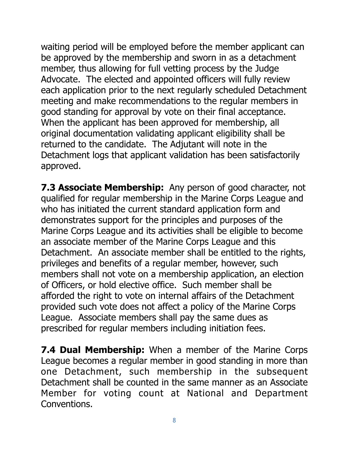waiting period will be employed before the member applicant can be approved by the membership and sworn in as a detachment member, thus allowing for full vetting process by the Judge Advocate. The elected and appointed officers will fully review each application prior to the next regularly scheduled Detachment meeting and make recommendations to the regular members in good standing for approval by vote on their final acceptance. When the applicant has been approved for membership, all original documentation validating applicant eligibility shall be returned to the candidate. The Adjutant will note in the Detachment logs that applicant validation has been satisfactorily approved.

**7.3 Associate Membership:** Any person of good character, not qualified for regular membership in the Marine Corps League and who has initiated the current standard application form and demonstrates support for the principles and purposes of the Marine Corps League and its activities shall be eligible to become an associate member of the Marine Corps League and this Detachment. An associate member shall be entitled to the rights, privileges and benefits of a regular member, however, such members shall not vote on a membership application, an election of Officers, or hold elective office. Such member shall be afforded the right to vote on internal affairs of the Detachment provided such vote does not affect a policy of the Marine Corps League. Associate members shall pay the same dues as prescribed for regular members including initiation fees.

**7.4 Dual Membership:** When a member of the Marine Corps League becomes a regular member in good standing in more than one Detachment, such membership in the subsequent Detachment shall be counted in the same manner as an Associate Member for voting count at National and Department Conventions.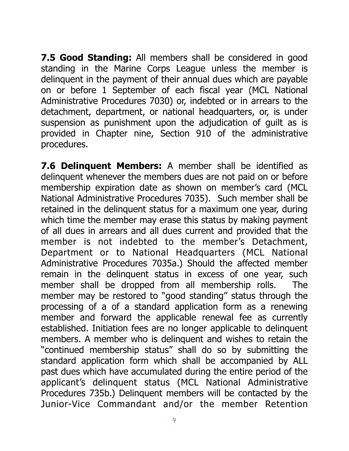**7.5 Good Standing:** All members shall be considered in good standing in the Marine Corps League unless the member is delinquent in the payment of their annual dues which are payable on or before 1 September of each fiscal year (MCL National Administrative Procedures 7030) or, indebted or in arrears to the detachment, department, or national headquarters, or, is under suspension as punishment upon the adjudication of guilt as is provided in Chapter nine, Section 910 of the administrative procedures.

**7.6 Delinquent Members:** A member shall be identified as delinquent whenever the members dues are not paid on or before membership expiration date as shown on member's card (MCL National Administrative Procedures 7035). Such member shall be retained in the delinquent status for a maximum one year, during which time the member may erase this status by making payment of all dues in arrears and all dues current and provided that the member is not indebted to the member's Detachment, Department or to National Headquarters (MCL National Administrative Procedures 7035a.) Should the affected member remain in the delinquent status in excess of one year, such member shall be dropped from all membership rolls. The member may be restored to "good standing" status through the processing of a of a standard application form as a renewing member and forward the applicable renewal fee as currently established. Initiation fees are no longer applicable to delinquent members. A member who is delinquent and wishes to retain the "continued membership status" shall do so by submitting the standard application form which shall be accompanied by ALL past dues which have accumulated during the entire period of the applicant's delinquent status (MCL National Administrative Procedures 735b.) Delinquent members will be contacted by the Junior-Vice Commandant and/or the member Retention

9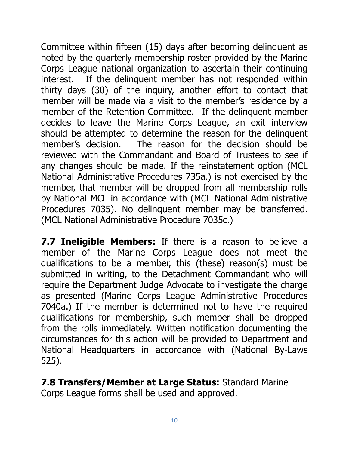Committee within fifteen (15) days after becoming delinquent as noted by the quarterly membership roster provided by the Marine Corps League national organization to ascertain their continuing interest. If the delinquent member has not responded within thirty days (30) of the inquiry, another effort to contact that member will be made via a visit to the member's residence by a member of the Retention Committee. If the delinquent member decides to leave the Marine Corps League, an exit interview should be attempted to determine the reason for the delinquent member's decision. The reason for the decision should be reviewed with the Commandant and Board of Trustees to see if any changes should be made. If the reinstatement option (MCL National Administrative Procedures 735a.) is not exercised by the member, that member will be dropped from all membership rolls by National MCL in accordance with (MCL National Administrative Procedures 7035). No delinquent member may be transferred. (MCL National Administrative Procedure 7035c.)

**7.7 Ineligible Members:** If there is a reason to believe a member of the Marine Corps League does not meet the qualifications to be a member, this (these) reason(s) must be submitted in writing, to the Detachment Commandant who will require the Department Judge Advocate to investigate the charge as presented (Marine Corps League Administrative Procedures 7040a.) If the member is determined not to have the required qualifications for membership, such member shall be dropped from the rolls immediately. Written notification documenting the circumstances for this action will be provided to Department and National Headquarters in accordance with (National By-Laws 525).

**7.8 Transfers/Member at Large Status:** Standard Marine Corps League forms shall be used and approved.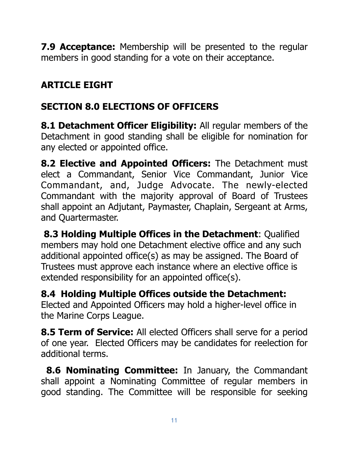**7.9 Acceptance:** Membership will be presented to the regular members in good standing for a vote on their acceptance.

# **ARTICLE EIGHT**

# **SECTION 8.0 ELECTIONS OF OFFICERS**

**8.1 Detachment Officer Eligibility:** All regular members of the Detachment in good standing shall be eligible for nomination for any elected or appointed office.

**8.2 Elective and Appointed Officers:** The Detachment must elect a Commandant, Senior Vice Commandant, Junior Vice Commandant, and, Judge Advocate. The newly-elected Commandant with the majority approval of Board of Trustees shall appoint an Adjutant, Paymaster, Chaplain, Sergeant at Arms, and Quartermaster.

**8.3 Holding Multiple Offices in the Detachment**: Qualified members may hold one Detachment elective office and any such additional appointed office(s) as may be assigned. The Board of Trustees must approve each instance where an elective office is extended responsibility for an appointed office(s).

**8.4 Holding Multiple Offices outside the Detachment:** Elected and Appointed Officers may hold a higher-level office in the Marine Corps League.

**8.5 Term of Service:** All elected Officers shall serve for a period of one year. Elected Officers may be candidates for reelection for additional terms.

**8.6 Nominating Committee:** In January, the Commandant shall appoint a Nominating Committee of regular members in good standing. The Committee will be responsible for seeking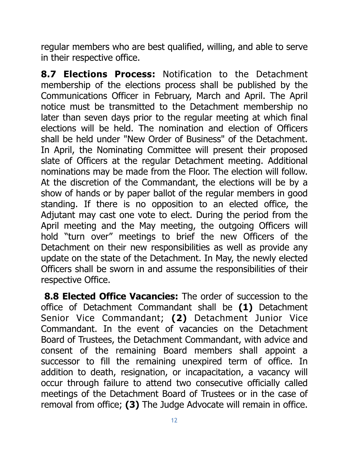regular members who are best qualified, willing, and able to serve in their respective office.

**8.7 Elections Process:** Notification to the Detachment membership of the elections process shall be published by the Communications Officer in February, March and April. The April notice must be transmitted to the Detachment membership no later than seven days prior to the regular meeting at which final elections will be held. The nomination and election of Officers shall be held under "New Order of Business" of the Detachment. In April, the Nominating Committee will present their proposed slate of Officers at the regular Detachment meeting. Additional nominations may be made from the Floor. The election will follow. At the discretion of the Commandant, the elections will be by a show of hands or by paper ballot of the regular members in good standing. If there is no opposition to an elected office, the Adjutant may cast one vote to elect. During the period from the April meeting and the May meeting, the outgoing Officers will hold "turn over" meetings to brief the new Officers of the Detachment on their new responsibilities as well as provide any update on the state of the Detachment. In May, the newly elected Officers shall be sworn in and assume the responsibilities of their respective Office.

 **8.8 Elected Office Vacancies:** The order of succession to the office of Detachment Commandant shall be **(1)** Detachment Senior Vice Commandant; **(2)** Detachment Junior Vice Commandant. In the event of vacancies on the Detachment Board of Trustees, the Detachment Commandant, with advice and consent of the remaining Board members shall appoint a successor to fill the remaining unexpired term of office. In addition to death, resignation, or incapacitation, a vacancy will occur through failure to attend two consecutive officially called meetings of the Detachment Board of Trustees or in the case of removal from office; **(3)** The Judge Advocate will remain in office.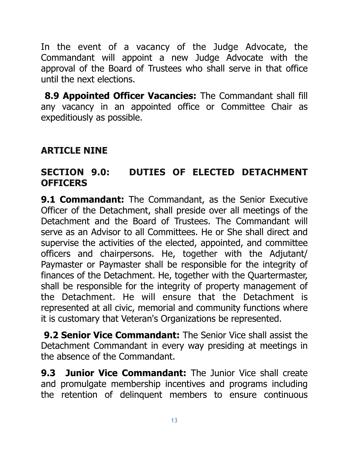In the event of a vacancy of the Judge Advocate, the Commandant will appoint a new Judge Advocate with the approval of the Board of Trustees who shall serve in that office until the next elections.

**8.9 Appointed Officer Vacancies:** The Commandant shall fill any vacancy in an appointed office or Committee Chair as expeditiously as possible.

## **ARTICLE NINE**

#### **SECTION 9.0: DUTIES OF ELECTED DETACHMENT OFFICERS**

**9.1 Commandant:** The Commandant, as the Senior Executive Officer of the Detachment, shall preside over all meetings of the Detachment and the Board of Trustees. The Commandant will serve as an Advisor to all Committees. He or She shall direct and supervise the activities of the elected, appointed, and committee officers and chairpersons. He, together with the Adjutant/ Paymaster or Paymaster shall be responsible for the integrity of finances of the Detachment. He, together with the Quartermaster, shall be responsible for the integrity of property management of the Detachment. He will ensure that the Detachment is represented at all civic, memorial and community functions where it is customary that Veteran's Organizations be represented.

**9.2 Senior Vice Commandant:** The Senior Vice shall assist the Detachment Commandant in every way presiding at meetings in the absence of the Commandant.

**9.3 Junior Vice Commandant:** The Junior Vice shall create and promulgate membership incentives and programs including the retention of delinquent members to ensure continuous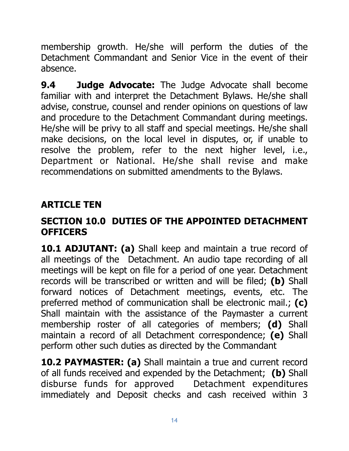membership growth. He/she will perform the duties of the Detachment Commandant and Senior Vice in the event of their absence.

**9.4 Judge Advocate:** The Judge Advocate shall become familiar with and interpret the Detachment Bylaws. He/she shall advise, construe, counsel and render opinions on questions of law and procedure to the Detachment Commandant during meetings. He/she will be privy to all staff and special meetings. He/she shall make decisions, on the local level in disputes, or, if unable to resolve the problem, refer to the next higher level, i.e., Department or National. He/she shall revise and make recommendations on submitted amendments to the Bylaws.

# **ARTICLE TEN**

#### **SECTION 10.0 DUTIES OF THE APPOINTED DETACHMENT OFFICERS**

**10.1 ADJUTANT: (a)** Shall keep and maintain a true record of all meetings of the Detachment. An audio tape recording of all meetings will be kept on file for a period of one year. Detachment records will be transcribed or written and will be filed; **(b)** Shall forward notices of Detachment meetings, events, etc. The preferred method of communication shall be electronic mail.; **(c)** Shall maintain with the assistance of the Paymaster a current membership roster of all categories of members; **(d)** Shall maintain a record of all Detachment correspondence; **(e)** Shall perform other such duties as directed by the Commandant

**10.2 PAYMASTER: (a)** Shall maintain a true and current record of all funds received and expended by the Detachment; **(b)** Shall disburse funds for approved Detachment expenditures immediately and Deposit checks and cash received within 3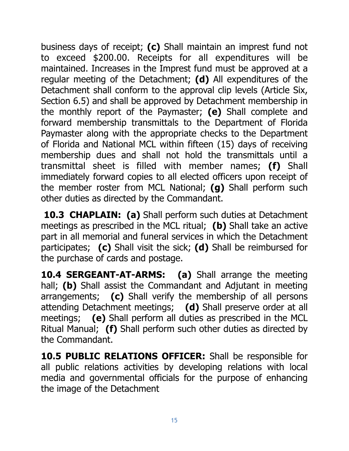business days of receipt; **(c)** Shall maintain an imprest fund not to exceed \$200.00. Receipts for all expenditures will be maintained. Increases in the Imprest fund must be approved at a regular meeting of the Detachment; **(d)** All expenditures of the Detachment shall conform to the approval clip levels (Article Six, Section 6.5) and shall be approved by Detachment membership in the monthly report of the Paymaster; **(e)** Shall complete and forward membership transmittals to the Department of Florida Paymaster along with the appropriate checks to the Department of Florida and National MCL within fifteen (15) days of receiving membership dues and shall not hold the transmittals until a transmittal sheet is filled with member names; **(f)** Shall immediately forward copies to all elected officers upon receipt of the member roster from MCL National; **(g)** Shall perform such other duties as directed by the Commandant.

**10.3 CHAPLAIN: (a)** Shall perform such duties at Detachment meetings as prescribed in the MCL ritual; **(b)** Shall take an active part in all memorial and funeral services in which the Detachment participates; **(c)** Shall visit the sick; **(d)** Shall be reimbursed for the purchase of cards and postage.

**10.4 SERGEANT-AT-ARMS: (a)** Shall arrange the meeting hall; **(b)** Shall assist the Commandant and Adjutant in meeting arrangements; **(c)** Shall verify the membership of all persons attending Detachment meetings; **(d)** Shall preserve order at all meetings; **(e)** Shall perform all duties as prescribed in the MCL Ritual Manual; **(f)** Shall perform such other duties as directed by the Commandant.

**10.5 PUBLIC RELATIONS OFFICER:** Shall be responsible for all public relations activities by developing relations with local media and governmental officials for the purpose of enhancing the image of the Detachment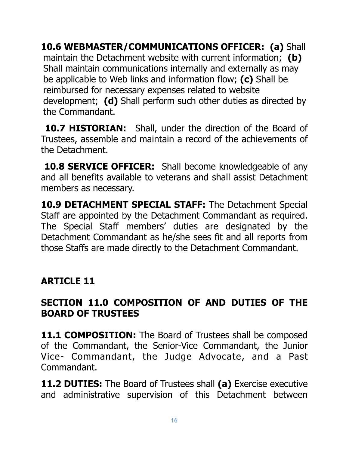**10.6 WEBMASTER/COMMUNICATIONS OFFICER: (a)** Shall maintain the Detachment website with current information; **(b)** Shall maintain communications internally and externally as may be applicable to Web links and information flow; **(c)** Shall be reimbursed for necessary expenses related to website development; **(d)** Shall perform such other duties as directed by the Commandant.

**10.7 HISTORIAN:** Shall, under the direction of the Board of Trustees, assemble and maintain a record of the achievements of the Detachment.

**10.8 SERVICE OFFICER:** Shall become knowledgeable of any and all benefits available to veterans and shall assist Detachment members as necessary.

**10.9 DETACHMENT SPECIAL STAFF:** The Detachment Special Staff are appointed by the Detachment Commandant as required. The Special Staff members' duties are designated by the Detachment Commandant as he/she sees fit and all reports from those Staffs are made directly to the Detachment Commandant.

## **ARTICLE 11**

#### **SECTION 11.0 COMPOSITION OF AND DUTIES OF THE BOARD OF TRUSTEES**

**11.1 COMPOSITION:** The Board of Trustees shall be composed of the Commandant, the Senior-Vice Commandant, the Junior Vice- Commandant, the Judge Advocate, and a Past Commandant.

**11.2 DUTIES:** The Board of Trustees shall **(a)** Exercise executive and administrative supervision of this Detachment between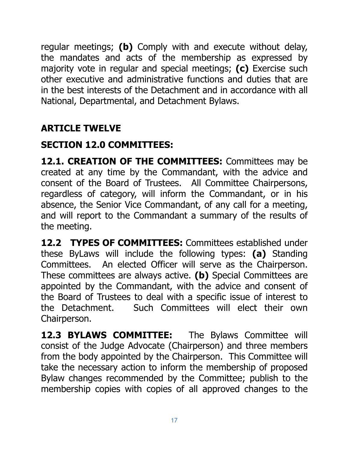regular meetings; **(b)** Comply with and execute without delay, the mandates and acts of the membership as expressed by majority vote in regular and special meetings; **(c)** Exercise such other executive and administrative functions and duties that are in the best interests of the Detachment and in accordance with all National, Departmental, and Detachment Bylaws.

# **ARTICLE TWELVE**

## **SECTION 12.0 COMMITTEES:**

12.1. CREATION OF THE COMMITTEES: Committees may be created at any time by the Commandant, with the advice and consent of the Board of Trustees. All Committee Chairpersons, regardless of category, will inform the Commandant, or in his absence, the Senior Vice Commandant, of any call for a meeting, and will report to the Commandant a summary of the results of the meeting.

**12.2 TYPES OF COMMITTEES:** Committees established under these ByLaws will include the following types: **(a)** Standing Committees. An elected Officer will serve as the Chairperson. These committees are always active. **(b)** Special Committees are appointed by the Commandant, with the advice and consent of the Board of Trustees to deal with a specific issue of interest to the Detachment. Such Committees will elect their own Chairperson.

**12.3 BYLAWS COMMITTEE:** The Bylaws Committee will consist of the Judge Advocate (Chairperson) and three members from the body appointed by the Chairperson. This Committee will take the necessary action to inform the membership of proposed Bylaw changes recommended by the Committee; publish to the membership copies with copies of all approved changes to the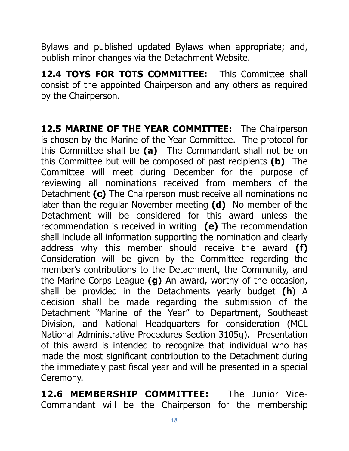Bylaws and published updated Bylaws when appropriate; and, publish minor changes via the Detachment Website.

**12.4 TOYS FOR TOTS COMMITTEE:** This Committee shall consist of the appointed Chairperson and any others as required by the Chairperson.

12.5 MARINE OF THE YEAR COMMITTEE: The Chairperson is chosen by the Marine of the Year Committee. The protocol for this Committee shall be **(a)** The Commandant shall not be on this Committee but will be composed of past recipients **(b)** The Committee will meet during December for the purpose of reviewing all nominations received from members of the Detachment **(c)** The Chairperson must receive all nominations no later than the regular November meeting **(d)** No member of the Detachment will be considered for this award unless the recommendation is received in writing **(e)** The recommendation shall include all information supporting the nomination and clearly address why this member should receive the award **(f)** Consideration will be given by the Committee regarding the member's contributions to the Detachment, the Community, and the Marine Corps League **(g)** An award, worthy of the occasion, shall be provided in the Detachments yearly budget **(h**) A decision shall be made regarding the submission of the Detachment "Marine of the Year" to Department, Southeast Division, and National Headquarters for consideration (MCL National Administrative Procedures Section 3105g). Presentation of this award is intended to recognize that individual who has made the most significant contribution to the Detachment during the immediately past fiscal year and will be presented in a special Ceremony.

**12.6 MEMBERSHIP COMMITTEE:** The Junior Vice-Commandant will be the Chairperson for the membership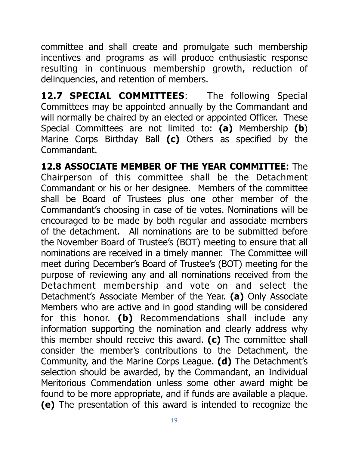committee and shall create and promulgate such membership incentives and programs as will produce enthusiastic response resulting in continuous membership growth, reduction of delinquencies, and retention of members.

12.7 **SPECIAL COMMITTEES:** The following Special Committees may be appointed annually by the Commandant and will normally be chaired by an elected or appointed Officer. These Special Committees are not limited to: **(a)** Membership **(b**) Marine Corps Birthday Ball **(c)** Others as specified by the Commandant.

**12.8 ASSOCIATE MEMBER OF THE YEAR COMMITTEE:** The Chairperson of this committee shall be the Detachment Commandant or his or her designee. Members of the committee shall be Board of Trustees plus one other member of the Commandant's choosing in case of tie votes. Nominations will be encouraged to be made by both regular and associate members of the detachment. All nominations are to be submitted before the November Board of Trustee's (BOT) meeting to ensure that all nominations are received in a timely manner. The Committee will meet during December's Board of Trustee's (BOT) meeting for the purpose of reviewing any and all nominations received from the Detachment membership and vote on and select the Detachment's Associate Member of the Year. **(a)** Only Associate Members who are active and in good standing will be considered for this honor. **(b)** Recommendations shall include any information supporting the nomination and clearly address why this member should receive this award. **(c)** The committee shall consider the member's contributions to the Detachment, the Community, and the Marine Corps League. **(d)** The Detachment's selection should be awarded, by the Commandant, an Individual Meritorious Commendation unless some other award might be found to be more appropriate, and if funds are available a plaque. **(e)** The presentation of this award is intended to recognize the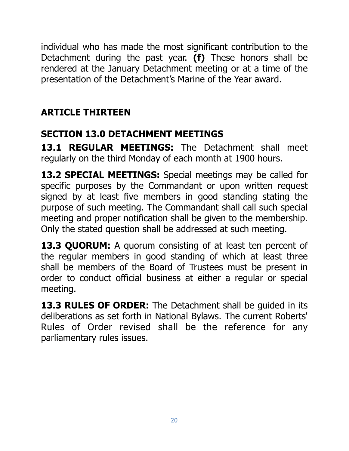individual who has made the most significant contribution to the Detachment during the past year. **(f)** These honors shall be rendered at the January Detachment meeting or at a time of the presentation of the Detachment's Marine of the Year award.

# **ARTICLE THIRTEEN**

# **SECTION 13.0 DETACHMENT MEETINGS**

**13.1 REGULAR MEETINGS:** The Detachment shall meet regularly on the third Monday of each month at 1900 hours.

**13.2 SPECIAL MEETINGS:** Special meetings may be called for specific purposes by the Commandant or upon written request signed by at least five members in good standing stating the purpose of such meeting. The Commandant shall call such special meeting and proper notification shall be given to the membership. Only the stated question shall be addressed at such meeting.

**13.3 QUORUM:** A quorum consisting of at least ten percent of the regular members in good standing of which at least three shall be members of the Board of Trustees must be present in order to conduct official business at either a regular or special meeting.

13.3 RULES OF ORDER: The Detachment shall be guided in its deliberations as set forth in National Bylaws. The current Roberts' Rules of Order revised shall be the reference for any parliamentary rules issues.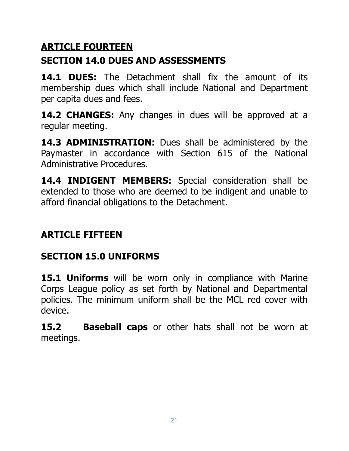## **ARTICLE FOURTEEN**

# **SECTION 14.0 DUES AND ASSESSMENTS**

14.1 **DUES:** The Detachment shall fix the amount of its membership dues which shall include National and Department per capita dues and fees.

**14.2 CHANGES:** Any changes in dues will be approved at a regular meeting.

14.3 **ADMINISTRATION:** Dues shall be administered by the Paymaster in accordance with Section 615 of the National Administrative Procedures.

**14.4 INDIGENT MEMBERS:** Special consideration shall be extended to those who are deemed to be indigent and unable to afford financial obligations to the Detachment.

# **ARTICLE FIFTEEN**

# **SECTION 15.0 UNIFORMS**

**15.1 Uniforms** will be worn only in compliance with Marine Corps League policy as set forth by National and Departmental policies. The minimum uniform shall be the MCL red cover with device.

**15.2 Baseball caps** or other hats shall not be worn at meetings.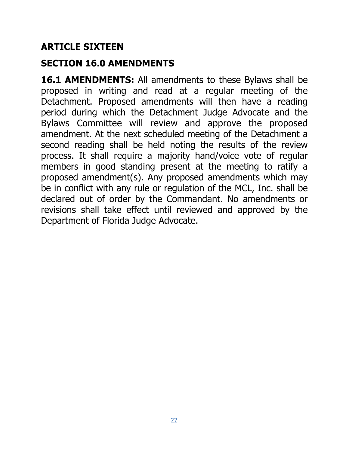#### **ARTICLE SIXTEEN**

#### **SECTION 16.0 AMENDMENTS**

**16.1 AMENDMENTS:** All amendments to these Bylaws shall be proposed in writing and read at a regular meeting of the Detachment. Proposed amendments will then have a reading period during which the Detachment Judge Advocate and the Bylaws Committee will review and approve the proposed amendment. At the next scheduled meeting of the Detachment a second reading shall be held noting the results of the review process. It shall require a majority hand/voice vote of regular members in good standing present at the meeting to ratify a proposed amendment(s). Any proposed amendments which may be in conflict with any rule or regulation of the MCL, Inc. shall be declared out of order by the Commandant. No amendments or revisions shall take effect until reviewed and approved by the Department of Florida Judge Advocate.